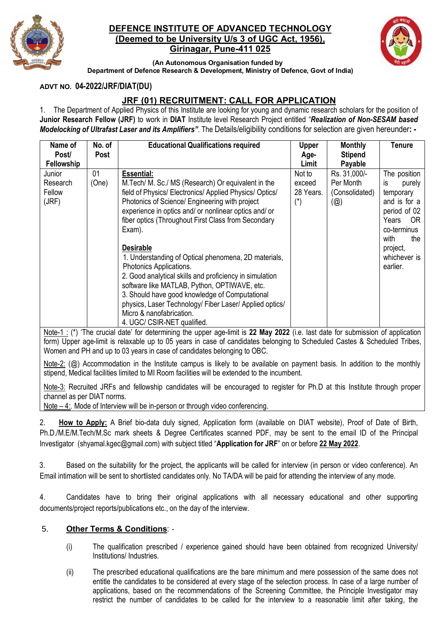

## **DEFENCE INSTITUTE OF ADVANCED TECHNOLOGY (Deemed to be University U/s 3 of UGC Act, 1956), Girinagar, Pune-411 025**



**(An Autonomous Organisation funded by Department of Defence Research & Development, Ministry of Defence, Govt of India)**

### **ADVT NO. 04-2022/JRF/DIAT(DU)**

# **JRF (01) RECRUITMENT: CALL FOR APPLICATION**

1. The Department of Applied Physics of this Institute are looking for young and dynamic research scholars for the position of **Junior Research Fellow (JRF)** to work in **DIAT** Institute level Research Project entitled "*Realization of Non-SESAM based Modelocking of Ultrafast Laser and its Amplifiers"*. The Details/eligibility conditions for selection are given hereunder**: -**

| Name of<br>Post/ | No. of<br>Post | <b>Educational Qualifications required</b>              | <b>Upper</b><br>Age-  | <b>Monthly</b><br><b>Stipend</b> | Tenure        |
|------------------|----------------|---------------------------------------------------------|-----------------------|----------------------------------|---------------|
| Fellowship       |                |                                                         | Limit                 | Payable                          |               |
| Junior           | 01             | <b>Essential:</b>                                       | Not to                | Rs. 31,000/-                     | The position  |
| Research         | (One)          | M. Tech/ M. Sc./ MS (Research) Or equivalent in the     | exceed                | Per Month                        | purely<br>is. |
| Fellow           |                | field of Physics/ Electronics/ Applied Physics/ Optics/ | 28 Years.             | (Consolidated)                   | temporary     |
| (JRF)            |                | Photonics of Science/ Engineering with project          | $(\dot{\phantom{a}})$ | $(\circleda)$                    | and is for a  |
|                  |                | experience in optics and/ or nonlinear optics and/ or   |                       |                                  | period of 02  |
|                  |                | fiber optics (Throughout First Class from Secondary     |                       |                                  | Years<br>-OR  |
|                  |                | Exam).                                                  |                       |                                  | co-terminus   |
|                  |                |                                                         |                       |                                  | with<br>the   |
|                  |                | <b>Desirable</b>                                        |                       |                                  | project,      |
|                  |                | 1. Understanding of Optical phenomena, 2D materials,    |                       |                                  | whichever is  |
|                  |                | Photonics Applications.                                 |                       |                                  | earlier.      |
|                  |                | 2. Good analytical skills and proficiency in simulation |                       |                                  |               |
|                  |                | software like MATLAB, Python, OPTIWAVE, etc.            |                       |                                  |               |
|                  |                |                                                         |                       |                                  |               |
|                  |                | 3. Should have good knowledge of Computational          |                       |                                  |               |
|                  |                | physics, Laser Technology/ Fiber Laser/ Applied optics/ |                       |                                  |               |
|                  |                | Micro & nanofabrication.                                |                       |                                  |               |
|                  |                | 4. UGC/ CSIR-NET qualified.                             |                       |                                  |               |

Note-1 : (\*) 'The crucial date' for determining the upper age-limit is **22 May 2022** (i.e. last date for submission of application form) Upper age-limit is relaxable up to 05 years in case of candidates belonging to Scheduled Castes & Scheduled Tribes, Women and PH and up to 03 years in case of candidates belonging to OBC.

Note-2:  $(Q)$  Accommodation in the Institute campus is likely to be available on payment basis. In addition to the monthly stipend, Medical facilities limited to MI Room facilities will be extended to the incumbent.

Note-3: Recruited JRFs and fellowship candidates will be encouraged to register for Ph.D at this Institute through proper channel as per DIAT norms.

Note – 4:. Mode of Interview will be in-person or through video conferencing.

2. **How to Apply:** A Brief bio-data duly signed, Application form (available on DIAT website), Proof of Date of Birth, Ph.D./M.E/M.Tech/M.Sc mark sheets & Degree Certificates scanned PDF, may be sent to the email ID of the Principal Investigator (shyamal.kgec@gmail.com) with subject titled "**Application for JRF**" on or before **22 May 2022**.

3. Based on the suitability for the project, the applicants will be called for interview (in person or video conference). An Email intimation will be sent to shortlisted candidates only. No TA/DA will be paid for attending the interview of any mode.

4. Candidates have to bring their original applications with all necessary educational and other supporting documents/project reports/publications etc., on the day of the interview.

### 5. **Other Terms & Conditions**: -

- (i) The qualification prescribed / experience gained should have been obtained from recognized University/ Institutions/ Industries.
- (ii) The prescribed educational qualifications are the bare minimum and mere possession of the same does not entitle the candidates to be considered at every stage of the selection process. In case of a large number of applications, based on the recommendations of the Screening Committee, the Principle Investigator may restrict the number of candidates to be called for the interview to a reasonable limit after taking, the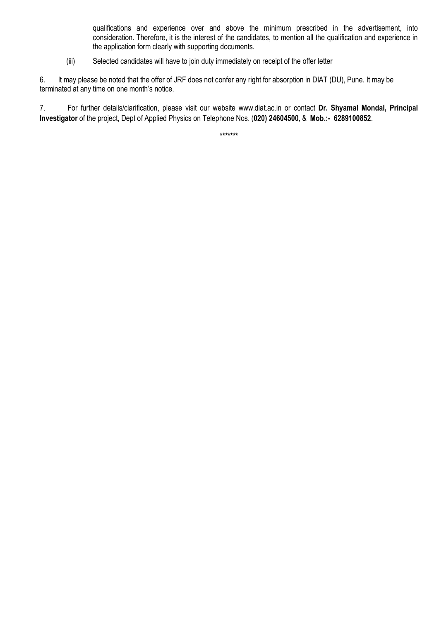qualifications and experience over and above the minimum prescribed in the advertisement, into consideration. Therefore, it is the interest of the candidates, to mention all the qualification and experience in the application form clearly with supporting documents.

(iii) Selected candidates will have to join duty immediately on receipt of the offer letter

6. It may please be noted that the offer of JRF does not confer any right for absorption in DIAT (DU), Pune. It may be terminated at any time on one month's notice.

7. For further details/clarification, please visit our website www.diat.ac.in or contact **Dr. Shyamal Mondal, Principal Investigator** of the project, Dept of Applied Physics on Telephone Nos. (**020) 24604500**, & **Mob.:- 6289100852**.

**\*\*\*\*\*\*\***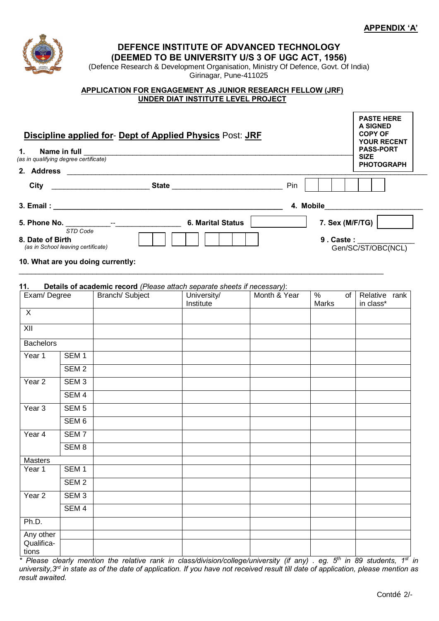

**DEFENCE INSTITUTE OF ADVANCED TECHNOLOGY** 

**(DEEMED TO BE UNIVERSITY U/S 3 OF UGC ACT, 1956)**

(Defence Research & Development Organisation, Ministry Of Defence, Govt. Of India) Girinagar, Pune-411025

#### **APPLICATION FOR ENGAGEMENT AS JUNIOR RESEARCH FELLOW (JRF) UNDER DIAT INSTITUTE LEVEL PROJECT**

| <b>Discipline applied for- Dept of Applied Physics Post: JRF</b><br>1.<br>(as in qualifying degree certificate) |                  |                                                                                             |             |              |       |                                         |  |  |  |
|-----------------------------------------------------------------------------------------------------------------|------------------|---------------------------------------------------------------------------------------------|-------------|--------------|-------|-----------------------------------------|--|--|--|
|                                                                                                                 |                  |                                                                                             |             |              |       |                                         |  |  |  |
|                                                                                                                 |                  |                                                                                             |             |              |       |                                         |  |  |  |
|                                                                                                                 |                  |                                                                                             |             |              |       | 7. Sex (M/F/TG) $\vert$                 |  |  |  |
| 8. Date of Birth<br>(as in School leaving certificate)                                                          | STD Code         | 10. What are you doing currently:                                                           |             |              |       | 9. Caste: _______<br>Gen/SC/ST/OBC(NCL) |  |  |  |
| 11.<br>Exam/Degree                                                                                              |                  | Details of academic record (Please attach separate sheets if necessary):<br>Branch/ Subject | University/ | Month & Year | $\%$  | $\overline{of}$ Relative rank           |  |  |  |
|                                                                                                                 |                  |                                                                                             | Institute   |              | Marks | in class*                               |  |  |  |
| $\mathsf{X}$                                                                                                    |                  |                                                                                             |             |              |       |                                         |  |  |  |
| $\overline{X}$                                                                                                  |                  |                                                                                             |             |              |       |                                         |  |  |  |
| <b>Bachelors</b>                                                                                                |                  |                                                                                             |             |              |       |                                         |  |  |  |
| Year 1                                                                                                          | SEM 1            |                                                                                             |             |              |       |                                         |  |  |  |
|                                                                                                                 | SEM <sub>2</sub> |                                                                                             |             |              |       |                                         |  |  |  |
| Year <sub>2</sub>                                                                                               | SEM <sub>3</sub> |                                                                                             |             |              |       |                                         |  |  |  |
|                                                                                                                 | SEM <sub>4</sub> |                                                                                             |             |              |       |                                         |  |  |  |
| Year <sub>3</sub>                                                                                               | SEM <sub>5</sub> |                                                                                             |             |              |       |                                         |  |  |  |
|                                                                                                                 | SEM <sub>6</sub> |                                                                                             |             |              |       |                                         |  |  |  |
| Year 4                                                                                                          | SEM <sub>7</sub> |                                                                                             |             |              |       |                                         |  |  |  |
|                                                                                                                 | SEM <sub>8</sub> |                                                                                             |             |              |       |                                         |  |  |  |
| Masters                                                                                                         |                  |                                                                                             |             |              |       |                                         |  |  |  |
| Year 1                                                                                                          | SEM <sub>1</sub> |                                                                                             |             |              |       |                                         |  |  |  |
|                                                                                                                 | SEM <sub>2</sub> |                                                                                             |             |              |       |                                         |  |  |  |
| Year <sub>2</sub>                                                                                               | SEM <sub>3</sub> |                                                                                             |             |              |       |                                         |  |  |  |
|                                                                                                                 | SEM <sub>4</sub> |                                                                                             |             |              |       |                                         |  |  |  |
| Ph.D.                                                                                                           |                  |                                                                                             |             |              |       |                                         |  |  |  |
| Any other<br>Qualifica-<br>tions                                                                                |                  |                                                                                             |             |              |       |                                         |  |  |  |

*\* Please clearly mention the relative rank in class/division/college/university (if any) . eg. 5th in 89 students, 1st in university,3rd in state as of the date of application. If you have not received result till date of application, please mention as result awaited.*